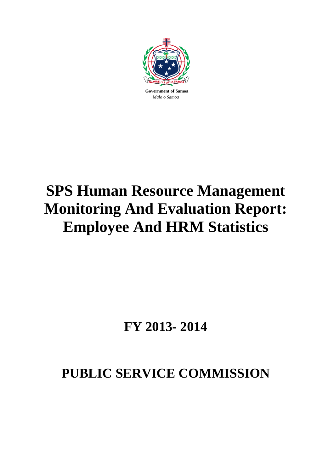

*Malo o Samoa*

# **SPS Human Resource Management Monitoring And Evaluation Report: Employee And HRM Statistics**

## **FY 2013- 2014**

## **PUBLIC SERVICE COMMISSION**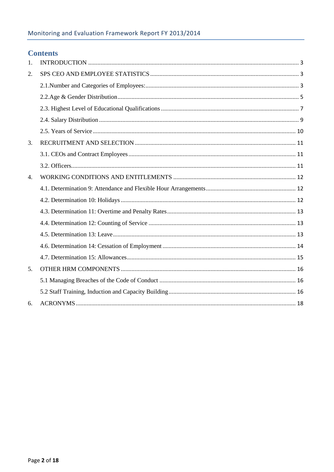## **Contents**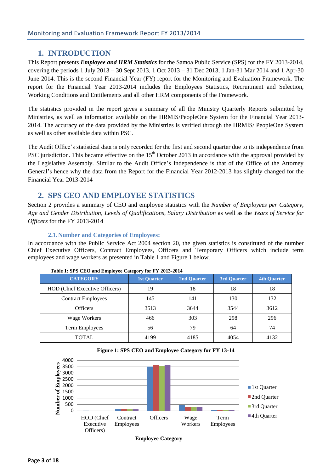## **1. INTRODUCTION**

<span id="page-2-0"></span>This Report presents *Employee and HRM Statistics* for the Samoa Public Service (SPS) for the FY 2013-2014, covering the periods 1 July 2013 – 30 Sept 2013, 1 Oct 2013 – 31 Dec 2013, 1 Jan-31 Mar 2014 and 1 Apr-30 June 2014. This is the second Financial Year (FY) report for the Monitoring and Evaluation Framework. The report for the Financial Year 2013-2014 includes the Employees Statistics, Recruitment and Selection, Working Conditions and Entitlements and all other HRM components of the Framework.

The statistics provided in the report gives a summary of all the Ministry Quarterly Reports submitted by Ministries, as well as information available on the HRMIS/PeopleOne System for the Financial Year 2013- 2014. The accuracy of the data provided by the Ministries is verified through the HRMIS/ PeopleOne System as well as other available data within PSC.

The Audit Office's statistical data is only recorded for the first and second quarter due to its independence from PSC jurisdiction. This became effective on the  $15<sup>th</sup>$  October 2013 in accordance with the approval provided by the Legislative Assembly. Similar to the Audit Office's Independence is that of the Office of the Attorney General's hence why the data from the Report for the Financial Year 2012-2013 has slightly changed for the Financial Year 2013-2014

## <span id="page-2-1"></span>**2. SPS CEO AND EMPLOYEE STATISTICS**

Section 2 provides a summary of CEO and employee statistics with the *Number of Employees per Category*, *Age and Gender Distribution*, *Levels of Qualifications*, *Salary Distribution* as well as the *Years of Service for Officers* for the FY 2013-2014

## **2.1.Number and Categories of Employees:**

<span id="page-2-2"></span>In accordance with the Public Service Act 2004 section 20, the given statistics is constituted of the number Chief Executive Officers, Contract Employees, Officers and Temporary Officers which include term employees and wage workers as presented in Table 1 and Figure 1 below.

| <b>CATEGORY</b>                | <b>1st Quarter</b> | 2nd Quarter | 3rd Quarter | <b>4th Quarter</b> |
|--------------------------------|--------------------|-------------|-------------|--------------------|
| HOD (Chief Executive Officers) | 19                 | 18          | 18          | 18                 |
| <b>Contract Employees</b>      | 145                | 141         | 130         | 132                |
| <b>Officers</b>                | 3513               | 3644        | 3544        | 3612               |
| Wage Workers                   | 466                | 303         | 298         | 296                |
| Term Employees                 | 56                 | 79          | 64          | 74                 |
| TOTAL                          | 4199               | 4185        | 4054        | 4132               |

#### **Table 1: SPS CEO and Employee Category for FY 2013-2014**





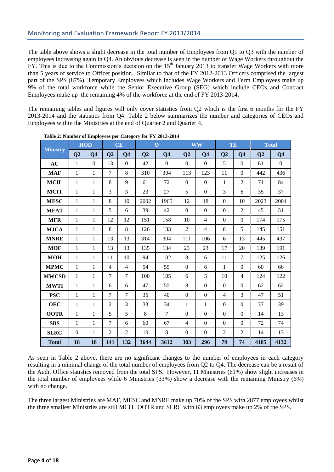The table above shows a slight decrease in the total number of Employees from Q1 to Q3 with the number of employees increasing again in Q4. An obvious decrease is seen in the number of Wage Workers throughout the FY. This is due to the Commission's decision on the  $15<sup>th</sup>$  January 2013 to transfer Wage Workers with more than 5 years of service to Officer position. Similar to that of the FY 2012-2013 Officers comprised the largest part of the SPS (87%). Temporary Employees which includes Wage Workers and Term Employees make up 9% of the total workforce while the Senior Executive Group (SEG) which include CEOs and Contract Employees make up the remaining 4% of the workforce at the end of FY 2013-2014.

The remaining tables and figures will only cover statistics from Q2 which is the first 6 months for the FY 2013-2014 and the statistics from Q4. Table 2 below summarizes the number and categories of CEOs and Employees within the Ministries at the end of Quarter 2 and Quarter 4.

| <b>Ministry</b> | <b>HOD</b>     |                  | CE             |                |                | $\mathbf 0$      |                  | <b>WW</b>        |                  | TE               |      | <b>Total</b>   |  |
|-----------------|----------------|------------------|----------------|----------------|----------------|------------------|------------------|------------------|------------------|------------------|------|----------------|--|
|                 | Q <sub>2</sub> | Q <sub>4</sub>   | Q <sub>2</sub> | Q <sub>4</sub> | Q <sub>2</sub> | Q <sub>4</sub>   | Q2               | Q <sub>4</sub>   | Q <sub>2</sub>   | Q <sub>4</sub>   | Q2   | Q <sub>4</sub> |  |
| AU              | $\mathbf{1}$   | $\boldsymbol{0}$ | 13             | $\mathbf{0}$   | 42             | $\boldsymbol{0}$ | $\overline{0}$   | $\boldsymbol{0}$ | 5                | $\theta$         | 61   | $\overline{0}$ |  |
| <b>MAF</b>      | $\mathbf{1}$   | $\mathbf{1}$     | $\overline{7}$ | 8              | 310            | 304              | 113              | 123              | 11               | $\boldsymbol{0}$ | 442  | 436            |  |
| <b>MCIL</b>     | $\mathbf{1}$   | $\mathbf{1}$     | 8              | 9              | 61             | 72               | $\overline{0}$   | $\boldsymbol{0}$ | $\mathbf{1}$     | $\overline{2}$   | 71   | 84             |  |
| <b>MCIT</b>     | 1              | $\mathbf{1}$     | 3              | 3              | 23             | 27               | 5                | $\Omega$         | 3                | 6                | 35   | 37             |  |
| <b>MESC</b>     | $\mathbf{1}$   | $\mathbf{1}$     | 8              | 10             | 2002           | 1965             | 12               | 18               | $\Omega$         | 10               | 2023 | 2004           |  |
| <b>MFAT</b>     | 1              | $\mathbf{1}$     | 5              | 6              | 39             | 42               | $\overline{0}$   | $\boldsymbol{0}$ | $\Omega$         | $\overline{2}$   | 45   | 51             |  |
| <b>MFR</b>      | $\mathbf{1}$   | $\mathbf{1}$     | 12             | 12             | 151            | 158              | 10               | $\overline{4}$   | $\Omega$         | $\boldsymbol{0}$ | 174  | 175            |  |
| <b>MJCA</b>     | $\mathbf{1}$   | $\mathbf{1}$     | 8              | 8              | 126            | 133              | $\overline{2}$   | $\overline{4}$   | 8                | 5                | 145  | 151            |  |
| <b>MNRE</b>     | 1              | $\mathbf{1}$     | 13             | 13             | 314            | 304              | 111              | 106              | 6                | 13               | 445  | 437            |  |
| <b>MOF</b>      | $\mathbf{1}$   | $\mathbf{1}$     | 13             | 13             | 135            | 134              | 23               | 23               | 17               | 20               | 189  | 191            |  |
| <b>MOH</b>      | 1              | $\mathbf{1}$     | 11             | 10             | 94             | 102              | 8                | 6                | 11               | $\tau$           | 125  | 126            |  |
| <b>MPMC</b>     | $\mathbf{1}$   | $\mathbf{1}$     | $\overline{4}$ | $\overline{4}$ | 54             | 55               | $\overline{0}$   | 6                | $\mathbf{1}$     | $\boldsymbol{0}$ | 60   | 66             |  |
| <b>MWCSD</b>    | $\mathbf{1}$   | $\mathbf{1}$     | $\overline{7}$ | $\overline{7}$ | 100            | 105              | 6                | 5                | 10               | $\overline{4}$   | 124  | 122            |  |
| <b>MWTI</b>     | 1              | $\mathbf{1}$     | 6              | 6              | 47             | 55               | 8                | $\boldsymbol{0}$ | $\boldsymbol{0}$ | $\theta$         | 62   | 62             |  |
| <b>PSC</b>      | $\mathbf{1}$   | $\mathbf{1}$     | $\overline{7}$ | $\overline{7}$ | 35             | 40               | $\boldsymbol{0}$ | $\boldsymbol{0}$ | $\overline{4}$   | 3                | 47   | 51             |  |
| <b>OEC</b>      | $\mathbf{1}$   | $\mathbf{1}$     | 2              | 3              | 33             | 34               | $\mathbf{1}$     | $\mathbf{1}$     | $\Omega$         | $\boldsymbol{0}$ | 37   | 39             |  |
| <b>OOTR</b>     | $\mathbf{1}$   | $\mathbf{1}$     | 5              | 5              | 8              | $\overline{7}$   | $\mathbf{0}$     | $\Omega$         | $\Omega$         | $\theta$         | 14   | 13             |  |
| <b>SBS</b>      | $\mathbf{1}$   | $\mathbf{1}$     | $\overline{7}$ | 6              | 60             | 67               | $\overline{4}$   | $\mathbf{0}$     | $\mathbf{0}$     | $\overline{0}$   | 72   | 74             |  |
| <b>SLRC</b>     | $\overline{0}$ | 1                | $\mathfrak{2}$ | $\overline{2}$ | 10             | $8\,$            | $\mathbf{0}$     | $\boldsymbol{0}$ | $\overline{2}$   | $\overline{c}$   | 14   | 13             |  |
| <b>Total</b>    | 18             | 18               | 141            | 132            | 3644           | 3612             | 303              | 296              | 79               | 74               | 4185 | 4132           |  |

**Table 2: Number of Employees per Category for FY 2013-2014**

As seen in Table 2 above, there are no significant changes to the number of employees in each category resulting in a minimal change of the total number of employees from Q2 to Q4. The decrease can be a result of the Audit Office statistics removed from the total SPS. However, 11 Ministries (61%) show slight increases in the total number of employees while 6 Ministries (33%) show a decrease with the remaining Ministry (6%) with no change.

The three largest Ministries are MAF, MESC and MNRE make up 70% of the SPS with 2877 employees whilst the three smallest Ministries are still MCIT, OOTR and SLRC with 63 employees make up 2% of the SPS.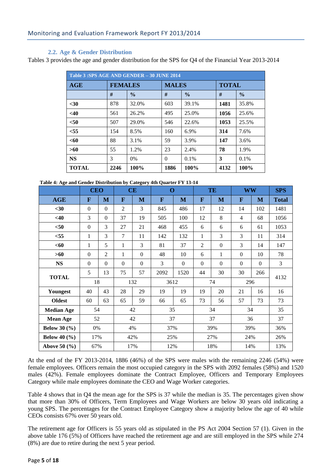## <span id="page-4-0"></span>**2.2. Age & Gender Distribution**

Tables 3 provides the age and gender distribution for the SPS for Q4 of the Financial Year 2013-2014

| Table 3:SPS AGE AND GENDER - 30 JUNE 2014 |                |               |              |               |              |               |  |  |  |  |
|-------------------------------------------|----------------|---------------|--------------|---------------|--------------|---------------|--|--|--|--|
| <b>AGE</b>                                | <b>FEMALES</b> |               | <b>MALES</b> |               | <b>TOTAL</b> |               |  |  |  |  |
|                                           | #              | $\frac{0}{0}$ | #            | $\frac{0}{0}$ | #            | $\frac{0}{0}$ |  |  |  |  |
| $30$                                      | 878            | 32.0%         | 603          | 39.1%         | 1481         | 35.8%         |  |  |  |  |
| $<$ 40                                    | 561            | 26.2%         | 495          | 25.0%         | 1056         | 25.6%         |  |  |  |  |
| $50$                                      | 507            | 29.0%         | 546          | 22.6%         | 1053         | 25.5%         |  |  |  |  |
| < 55                                      | 154            | 8.5%          | 160          | 6.9%          | 314          | 7.6%          |  |  |  |  |
| $60$                                      | 88             | 3.1%          | 59           | 3.9%          | 147          | 3.6%          |  |  |  |  |
| >60                                       | 55             | 1.2%          | 23           | 2.4%          | 78           | 1.9%          |  |  |  |  |
| <b>NS</b>                                 | 3              | $0\%$         | $\Omega$     | 0.1%          | 3            | $0.1\%$       |  |  |  |  |
| <b>TOTAL</b>                              | 2246           | 100%          | 1886         | 100%          | 4132         | 100%          |  |  |  |  |

**Table 4: Age and Gender Distribution by Category 4th Quarter FY 13-14**

|                                    | <b>CEO</b>   |                |                | CE           | $\mathbf 0$  |              | TE               |          |                | <b>WW</b>    |              |  |
|------------------------------------|--------------|----------------|----------------|--------------|--------------|--------------|------------------|----------|----------------|--------------|--------------|--|
| <b>AGE</b>                         | $\mathbf F$  | M              | $\mathbf{F}$   | $\mathbf{M}$ | $\mathbf{F}$ | M            | $\mathbf{F}$     | M        | $\mathbf{F}$   | M            | <b>Total</b> |  |
| $30$                               | $\mathbf{0}$ | $\Omega$       | $\overline{2}$ | 3            | 845          | 486          | 17               | 12       | 14             | 102          | 1481         |  |
| <40                                | 3            | $\Omega$       | 37             | 19           | 505          | 100          | 12               | 8        | $\overline{4}$ | 68           | 1056         |  |
| $50$                               | $\Omega$     | 3              | 27             | 21           | 468          | 455          | 6                | 6        | 6              | 61           | 1053         |  |
| $<$ 55                             | 1            | 3              | $\overline{7}$ | 11           | 142          | 132          | 1                | 3        | 3              | 11           | 314          |  |
| $60$                               | 1            | 5              | 1              | 3            | 81           | 37           | $\overline{2}$   | $\Omega$ | 3              | 14           | 147          |  |
| $>60$                              | $\Omega$     | $\overline{2}$ | $\mathbf{1}$   | $\Omega$     | 48           | 10           | 6                | 1        | $\Omega$       | 10           | 78           |  |
| NS                                 | $\mathbf{0}$ | $\Omega$       | $\overline{0}$ | $\Omega$     | 3            | $\mathbf{0}$ | $\boldsymbol{0}$ | $\Omega$ | $\mathbf{0}$   | $\mathbf{0}$ | 3            |  |
| <b>TOTAL</b>                       | 5            | 13             | 75             | 57           | 2092         | 1520         | 44               | 30       | 30             | 266          | 4132         |  |
|                                    | 18<br>132    |                |                | 3612         |              | 74           |                  | 296      |                |              |              |  |
| Youngest                           | 40           | 43             | 28             | 29           | 19           | 19           | 19               | 20       | 21             | 16           | 16           |  |
| <b>Oldest</b>                      | 60           | 63             | 65             | 59           | 66           | 65           | 73               | 56       | 57             | 73           | 73           |  |
| <b>Median Age</b>                  | 54           |                |                | 42           | 35           |              |                  | 34       |                | 34           |              |  |
| <b>Mean Age</b>                    | 52           |                |                | 42           | 37           |              |                  | 37       | 36             |              | 37           |  |
| <b>Below 30 (%)</b>                | 0%           |                |                | 4%           | 37%          |              |                  | 39%      | 39%            |              | 36%          |  |
| <b>Below 40 <math>(\% )</math></b> | 17%          |                |                | 42%          | 25%          |              |                  | 27%      | 24%            |              | 26%          |  |
| Above $50$ $(\%)$                  | 67%          |                |                | 17%          | 12%          |              |                  | 18%      | 14%            |              | 13%          |  |

At the end of the FY 2013-2014, 1886 (46%) of the SPS were males with the remaining 2246 (54%) were female employees. Officers remain the most occupied category in the SPS with 2092 females (58%) and 1520 males (42%). Female employees dominate the Contract Employee, Officers and Temporary Employees Category while male employees dominate the CEO and Wage Worker categories.

Table 4 shows that in Q4 the mean age for the SPS is 37 while the median is 35. The percentages given show that more than 30% of Officers, Term Employees and Wage Workers are below 30 years old indicating a young SPS. The percentages for the Contract Employee Category show a majority below the age of 40 while CEOs consists 67% over 50 years old.

The retirement age for Officers is 55 years old as stipulated in the PS Act 2004 Section 57 (1). Given in the above table 176 (5%) of Officers have reached the retirement age and are still employed in the SPS while 274 (8%) are due to retire during the next 5 year period.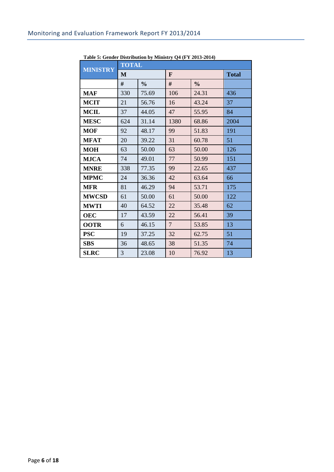| <b>MINISTRY</b> | <b>TOTAL</b> |               |                 |               |              |  |  |  |  |  |  |
|-----------------|--------------|---------------|-----------------|---------------|--------------|--|--|--|--|--|--|
|                 | M            |               | $\mathbf{F}$    |               | <b>Total</b> |  |  |  |  |  |  |
|                 | #            | $\frac{0}{0}$ | #               | $\frac{0}{0}$ |              |  |  |  |  |  |  |
| <b>MAF</b>      | 330          | 75.69         | 106             | 24.31         | 436          |  |  |  |  |  |  |
| <b>MCIT</b>     | 21           | 56.76         | 16              | 43.24         | 37           |  |  |  |  |  |  |
| <b>MCIL</b>     | 37           | 44.05         | 47              | 55.95         | 84           |  |  |  |  |  |  |
| <b>MESC</b>     | 624          | 31.14         | 1380            | 68.86         | 2004         |  |  |  |  |  |  |
| <b>MOF</b>      | 92           | 48.17         | 99              | 51.83         | 191          |  |  |  |  |  |  |
| <b>MFAT</b>     | 20<br>39.22  |               | 31              | 60.78         | 51           |  |  |  |  |  |  |
| <b>MOH</b>      | 63           | 50.00         | 63              | 50.00         | 126          |  |  |  |  |  |  |
| <b>MJCA</b>     | 74           | 49.01         | 77              | 50.99         | 151          |  |  |  |  |  |  |
| <b>MNRE</b>     | 338          | 77.35         | 99              | 22.65         | 437          |  |  |  |  |  |  |
| <b>MPMC</b>     | 24           | 36.36         | 42              | 63.64         | 66           |  |  |  |  |  |  |
| <b>MFR</b>      | 81           | 46.29         | 94              | 53.71         | 175          |  |  |  |  |  |  |
| <b>MWCSD</b>    | 61           | 50.00         | 61              | 50.00         | 122          |  |  |  |  |  |  |
| <b>MWTI</b>     | 40           | 64.52         | 22              | 35.48         | 62           |  |  |  |  |  |  |
| <b>OEC</b>      | 17           | 43.59         | 22              | 56.41         | 39           |  |  |  |  |  |  |
| <b>OOTR</b>     | 6            | 46.15         | $7\overline{ }$ | 53.85         | 13           |  |  |  |  |  |  |
| <b>PSC</b>      | 19           | 37.25         | 32              | 62.75         | 51           |  |  |  |  |  |  |
| <b>SBS</b>      | 36           | 48.65         | 38              | 51.35         | 74           |  |  |  |  |  |  |
| <b>SLRC</b>     | 3            | 23.08         | 10              | 76.92         | 13           |  |  |  |  |  |  |

**Table 5: Gender Distribution by Ministry Q4 (FY 2013-2014)**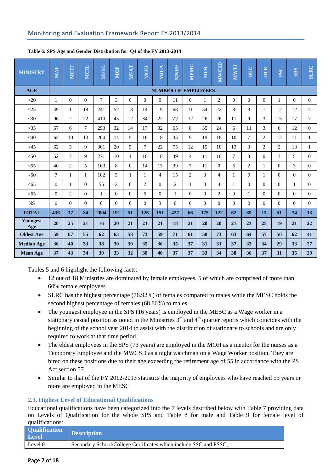| Monitoring and Evaluation Framework Report FY 2013/2014 |  |  |  |  |
|---------------------------------------------------------|--|--|--|--|
|---------------------------------------------------------|--|--|--|--|

| <b>MINISTRY</b>   | <b>MAF</b>                 | MCIT           | MCIL         | <b>NIESC</b>   | <b>MOF</b>     | <b>MFAT</b>  | <b>NOH</b>     | MJCA           | <b>MNRE</b>    | <b>NIPMC</b>   | <b>MFR</b> | <b>MWCSD</b>   | <b>NWTI</b>    | <b>OEC</b>     | <b>OTR</b>     | PSC            | <b>SBS</b> | <b>SLRC</b>    |
|-------------------|----------------------------|----------------|--------------|----------------|----------------|--------------|----------------|----------------|----------------|----------------|------------|----------------|----------------|----------------|----------------|----------------|------------|----------------|
| <b>AGE</b>        | <b>NUMBER OF EMPLOYEES</b> |                |              |                |                |              |                |                |                |                |            |                |                |                |                |                |            |                |
| $<$ 20            | $\mathbf{1}$               | $\Omega$       | $\Omega$     | $\overline{7}$ | 3              | $\Omega$     | $\overline{0}$ | $\Omega$       | 11             | $\Omega$       | 1          | $\overline{c}$ | $\overline{0}$ | $\Omega$       | $\theta$       | $\mathbf{1}$   | $\Omega$   | $\overline{0}$ |
| <25               | 49                         | 1              | 18           | 241            | 52             | 13           | 14             | 19             | 68             | 11             | 54         | 22             | 8              | 3              | $\mathbf{1}$   | 12             | 12         | $\overline{4}$ |
| $<$ 30            | 96                         | $\overline{2}$ | 22           | 410            | 45             | 12           | 34             | 22             | 77             | 12             | 26         | 26             | 11             | 9              | $\mathcal{E}$  | 15             | 17         | $\overline{7}$ |
| $\leq$ 35         | 67                         | 6              | $\tau$       | 253            | 32             | 14           | 17             | 32             | 65             | 8              | 35         | 24             | 6              | 11             | 3              | 6              | 12         | $\theta$       |
| $<$ 40            | 62                         | 10             | 13           | 200            | 14             | 5            | 16             | 18             | 35             | $\mathbf Q$    | 19         | 18             | 10             | $\overline{7}$ | $\overline{2}$ | 12             | 11         | $\mathbf{1}$   |
| <45               | 62                         | 5              | 9            | 301            | 20             | 5            | 7              | 22             | 75             | 12             | 15         | 10             | 13             | 3              | $\overline{c}$ | $\overline{c}$ | 13         | $\mathbf{1}$   |
| < 50              | 52                         | $\tau$         | 9            | 271            | 10             | $\mathbf{1}$ | 16             | 18             | 49             | $\overline{4}$ | 11         | 10             | $\overline{7}$ | 3              | $\Omega$       | 3              | 5          | $\theta$       |
| $<$ 55            | 40                         | $\overline{2}$ | 5            | 163            | 8              | $\Omega$     | 14             | 13             | 39             | 7              | 11         | $\Omega$       | 5              | $\overline{2}$ | 1              | $\Omega$       | 3          | $\theta$       |
| <60               | $\overline{7}$             | 1              | $\mathbf{1}$ | 102            | 5              | 1            | $\mathbf{1}$   | $\overline{4}$ | 15             | $\overline{c}$ | 3          | $\overline{4}$ | 1              | $\Omega$       | $\mathbf{1}$   | $\Omega$       | $\Omega$   | $\theta$       |
| < 65              | $\Omega$                   | 1              | $\Omega$     | 55             | $\overline{2}$ | $\theta$     | $\overline{2}$ | $\overline{0}$ | $\overline{2}$ | $\mathbf{1}$   | $\Omega$   | $\overline{4}$ | $\mathbf{1}$   | $\theta$       | $\Omega$       | $\Omega$       | 1          | $\theta$       |
| $>65$             | $\Omega$                   | $\overline{2}$ | $\Omega$     | $\mathbf{1}$   | $\Omega$       | $\Omega$     | 5              | $\theta$       | 1              | $\Omega$       | $\Omega$   | $\overline{2}$ | $\overline{0}$ | $\mathbf{1}$   | $\Omega$       | $\Omega$       | $\Omega$   | $\Omega$       |
| NS                | $\Omega$                   | $\Omega$       | $\Omega$     | $\Omega$       | $\Omega$       | $\Omega$     | $\Omega$       | 3              | $\Omega$       | $\Omega$       | $\Omega$   | $\Omega$       | $\Omega$       | $\Omega$       | $\Omega$       | $\Omega$       | $\Omega$   | $\Omega$       |
| <b>TOTAL</b>      | 436                        | 37             | 84           | 2004           | 191            | 51           | 126            | 151            | 437            | 66             | 175        | 122            | 62             | 39             | 13             | 51             | 74         | 13             |
| Youngest<br>Age   | 20                         | 25             | 21           | 16             | 20             | 21           | 21             | 21             | 18             | 21             | 20         | 20             | 21             | 23             | 25             | 19             | 21         | 22             |
| <b>Oldest Age</b> | 59                         | 67             | 55           | 62             | 65             | 58           | 73             | 59             | 71             | 61             | 58         | 73             | 63             | 64             | 57             | 50             | 62         | 41             |
| <b>Median Age</b> | 36                         | 40             | 33           | 38             | 30             | 30           | 35             | 36             | 35             | 37             | 31         | 31             | 37             | 33             | 34             | 29             | 33         | 27             |
| <b>Mean Age</b>   | 37                         | 43             | 34           | 39             | 33             | 32           | 38             | 40             | 37             | 37             | 33         | 34             | 38             | 36             | 37             | 31             | 35         | 29             |

#### **Table 6: SPS Age and Gender Distribution for Q4 of the FY 2013-2014**

Tables 5 and 6 highlight the following facts:

- 12 out of 18 Ministries are dominated by female employees, 5 of which are comprised of more than 60% female employees
- SLRC has the highest percentage (76.92%) of females compared to males while the MESC holds the second highest percentage of females (68.86%) to males
- The youngest employee in the SPS (16 years) is employed in the MESC as a Wage worker in a stationary casual position as noted in the Ministries  $3<sup>rd</sup>$  and  $4<sup>th</sup>$  quarter reports which coincides with the beginning of the school year 2014 to assist with the distribution of stationary to schools and are only required to work at that time period.
- The eldest employees in the SPS (73 years) are employed in the MOH as a mentor for the nurses as a Temporary Employee and the MWCSD as a night watchman on a Wage Worker position. They are hired on these positions due to their age exceeding the retirement age of 55 in accordance with the PS Act section 57.
- Similar to that of the FY 2012-2013 statistics the majority of employees who have reached 55 years or more are employed in the MESC

## <span id="page-6-0"></span>**2.3. Highest Level of Educational Qualifications**

Educational qualifications have been categorized into the 7 levels described below with Table 7 providing data on Levels of Qualification for the whole SPS and Table 8 for male and Table 9 for female level of qualifications:

| <b>Qualification</b><br><b>Level</b> | <b>Description</b>                                                |
|--------------------------------------|-------------------------------------------------------------------|
| Level 0                              | Secondary School/College Certificates which include SSC and PSSC; |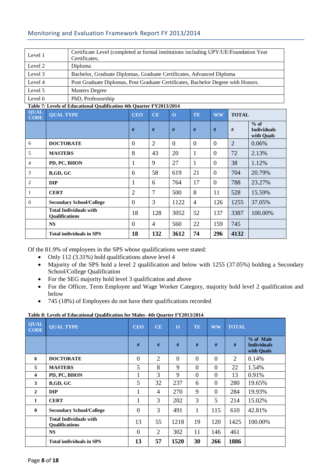| Level 1 | Certificate Level (completed at formal institutions including UPY/UE/Foundation Year<br>Certificates; |
|---------|-------------------------------------------------------------------------------------------------------|
| Level 2 | Diploma                                                                                               |
| Level 3 | Bachelor, Graduate Diplomas, Graduate Certificates, Advanced Diploma                                  |
| Level 4 | Post Graduate Diplomas, Post Graduate Certificates, Bachelor Degree with Honors.                      |
| Level 5 | Masters Degree                                                                                        |
| Level 6 | PhD, Professorship                                                                                    |

**Table 7: Levels of Educational Qualification 4th Quarter FY2013/2014**

| <b>QUAL</b><br><b>CODE</b> | <b>QUAL TYPE</b>                                | <b>CEO</b>     | <b>CE</b>      | $\Omega$ | <b>TE</b>      | <b>WW</b>      | <b>TOTAL</b>   |                                            |
|----------------------------|-------------------------------------------------|----------------|----------------|----------|----------------|----------------|----------------|--------------------------------------------|
|                            |                                                 | #              | #              | #        | #              | #              | #              | $%$ of<br><b>Individuals</b><br>with Quals |
| 6                          | <b>DOCTORATE</b>                                | $\theta$       | $\overline{2}$ | $\Omega$ | $\Omega$       | $\overline{0}$ | $\overline{2}$ | 0.06%                                      |
| 5                          | <b>MASTERS</b>                                  | 8              | 43             | 20       | 1              | $\overline{0}$ | 72             | 2.13%                                      |
| 4                          | PD, PC, BHON                                    | 1              | 9              | 27       | 1              | $\overline{0}$ | 38             | 1.12%                                      |
| 3                          | B,GD, GC                                        | 6              | 58             | 619      | 21             | $\overline{0}$ | 704            | 20.79%                                     |
| $\overline{c}$             | <b>DIP</b>                                      | 1              | 6              | 764      | 17             | $\theta$       | 788            | 23.27%                                     |
| 1                          | <b>CERT</b>                                     | $\overline{2}$ | 7              | 500      | 8              | 11             | 528            | 15.59%                                     |
| $\theta$                   | <b>Secondary School/College</b>                 | $\overline{0}$ | 3              | 1122     | $\overline{4}$ | 126            | 1255           | 37.05%                                     |
|                            | <b>Total Individuals with</b><br>Qualifications | 18             | 128            | 3052     | 52             | 137            | 3387           | 100.00%                                    |
|                            | <b>NS</b>                                       | $\overline{0}$ | $\overline{4}$ | 560      | 22             | 159            | 745            |                                            |
|                            | <b>Total individuals in SPS</b>                 | 18             | 132            | 3612     | 74             | 296            | 4132           |                                            |

Of the 81.9% of employees in the SPS whose qualifications were stated:

- Only 112 (3.31%) hold qualifications above level 4
- Majority of the SPS hold a level 2 qualification and below with 1255 (37.05%) holding a Secondary School/College Qualification
- For the SEG majority hold level 3 qualification and above
- For the Officer, Term Employee and Wage Worker Category, majority hold level 2 qualification and below
- 745 (18%) of Employees do not have their qualifications recorded

| Table 8: Levels of Educational Qualification for Males-4th Quarter FY2013/2014 |  |  |
|--------------------------------------------------------------------------------|--|--|
|                                                                                |  |  |

| QUAL<br>$\overline{CODE}$ | <b>QUAL TYPE</b>                                       | <b>CEO</b>       | CE | $\mathbf 0$ | <b>TE</b> | <b>WW</b>      | <b>TOTAL</b>   |                                               |
|---------------------------|--------------------------------------------------------|------------------|----|-------------|-----------|----------------|----------------|-----------------------------------------------|
|                           |                                                        | #                | #  | #           | #         | #              | #              | % of Male<br><b>Individuals</b><br>with Quals |
| 6                         | <b>DOCTORATE</b>                                       | $\boldsymbol{0}$ | 2  | $\theta$    | $\theta$  | $\theta$       | $\overline{2}$ | 0.14%                                         |
| 5                         | <b>MASTERS</b>                                         | 5                | 8  | 9           | $\theta$  | $\theta$       | 22             | 1.54%                                         |
| 4                         | PD, PC, BHON                                           |                  | 3  | 9           | $\theta$  | $\overline{0}$ | 13             | 0.91%                                         |
| 3                         | B,GD, GC                                               | 5                | 32 | 237         | 6         | $\overline{0}$ | 280            | 19.65%                                        |
| $\mathbf{2}$              | <b>DIP</b>                                             | 1                | 4  | 270         | 9         | $\theta$       | 284            | 19.93%                                        |
| 1                         | <b>CERT</b>                                            | 1                | 3  | 202         | 3         | 5              | 214            | 15.02%                                        |
| $\mathbf{0}$              | <b>Secondary School/College</b>                        | $\boldsymbol{0}$ | 3  | 491         | 1         | 115            | 610            | 42.81%                                        |
|                           | <b>Total Individuals with</b><br><b>Oualifications</b> | 13               | 55 | 1218        | 19        | 120            | 1425           | 100.00%                                       |
|                           | <b>NS</b>                                              | $\overline{0}$   | 2  | 302         | 11        | 146            | 461            |                                               |
|                           | <b>Total individuals in SPS</b>                        | 13               | 57 | 1520        | 30        | 266            | 1886           |                                               |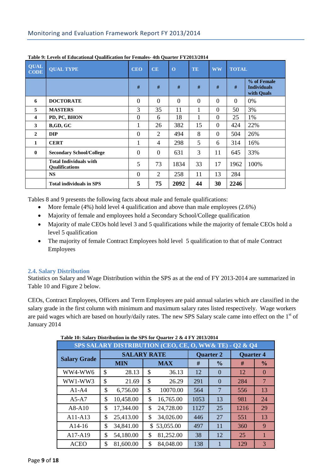| <b>QUAL</b><br><b>CODE</b> | <b>QUAL TYPE</b>                                       | <b>CEO</b>       | CE               | $\overline{O}$ | <b>TE</b>      | <b>WW</b>      | <b>TOTAL</b> |                                                 |
|----------------------------|--------------------------------------------------------|------------------|------------------|----------------|----------------|----------------|--------------|-------------------------------------------------|
|                            |                                                        | #                | #                | #              | #              | #              | #            | % of Female<br><b>Individuals</b><br>with Quals |
| 6                          | <b>DOCTORATE</b>                                       | $\overline{0}$   | $\overline{0}$   | $\overline{0}$ | $\overline{0}$ | $\overline{0}$ | $\Omega$     | 0%                                              |
| 5                          | <b>MASTERS</b>                                         | 3                | 35               | 11             |                | $\overline{0}$ | 50           | 3%                                              |
| $\overline{\mathbf{4}}$    | PD, PC, BHON                                           | $\boldsymbol{0}$ | 6                | 18             | 1              | $\overline{0}$ | 25           | 1%                                              |
| 3                          | B,GD, GC                                               | 1                | 26               | 382            | 15             | $\overline{0}$ | 424          | 22%                                             |
| $\overline{2}$             | <b>DIP</b>                                             | $\boldsymbol{0}$ | $\overline{2}$   | 494            | 8              | $\overline{0}$ | 504          | 26%                                             |
| 1                          | <b>CERT</b>                                            | 1                | $\overline{4}$   | 298            | 5              | 6              | 314          | 16%                                             |
| $\mathbf{0}$               | <b>Secondary School/College</b>                        | $\boldsymbol{0}$ | $\boldsymbol{0}$ | 631            | 3              | 11             | 645          | 33%                                             |
|                            | <b>Total Individuals with</b><br><b>Qualifications</b> | 5                | 73               | 1834           | 33             | 17             | 1962         | 100%                                            |
|                            | <b>NS</b>                                              | $\overline{0}$   | 2                | 258            | 11             | 13             | 284          |                                                 |
|                            | <b>Total individuals in SPS</b>                        | 5                | 75               | 2092           | 44             | 30             | 2246         |                                                 |

| Table 9: Levels of Educational Qualification for Females- 4th Quarter FY2013/2014 |  |  |
|-----------------------------------------------------------------------------------|--|--|
|                                                                                   |  |  |

Tables 8 and 9 presents the following facts about male and female qualifications:

- More female  $(4\%)$  hold level 4 qualification and above than male employees  $(2.6\%)$
- Majority of female and employees hold a Secondary School/College qualification
- Majority of male CEOs hold level 3 and 5 qualifications while the majority of female CEOs hold a level 5 qualification
- The majority of female Contract Employees hold level 5 qualification to that of male Contract Employees

## <span id="page-8-0"></span>**2.4. Salary Distribution**

Statistics on Salary and Wage Distribution within the SPS as at the end of FY 2013-2014 are summarized in Table 10 and Figure 2 below.

CEOs, Contract Employees, Officers and Term Employees are paid annual salaries which are classified in the salary grade in the first column with minimum and maximum salary rates listed respectively. Wage workers are paid wages which are based on hourly/daily rates. The new SPS Salary scale came into effect on the 1st of January 2014

|                     | SPS SALARY DISTRIBUTION (CEO, CE, O, WW& TE) - Q2 & Q4 |            |            |             |      |                  |                  |                |
|---------------------|--------------------------------------------------------|------------|------------|-------------|------|------------------|------------------|----------------|
|                     | <b>SALARY RATE</b>                                     |            |            |             |      | <b>Quarter 2</b> | <b>Quarter 4</b> |                |
| <b>Salary Grade</b> |                                                        | <b>MIN</b> | <b>MAX</b> |             | #    | $\frac{0}{0}$    | #                | $\frac{0}{0}$  |
| WW4-WW6             | \$                                                     | 28.13      | \$         | 36.13       | 12   | $\Omega$         | 12               | $\Omega$       |
| WW1-WW3             | \$                                                     | 21.69      | \$         | 26.29       | 291  | $\Omega$         | 284              | $\overline{7}$ |
| $A1-A4$             | \$                                                     | 6,756.00   | \$         | 10070.00    | 564  | $\overline{7}$   | 556              | 13             |
| $A5-A7$             | \$                                                     | 10,458.00  | \$         | 16,765.00   | 1053 | 13               | 981              | 24             |
| $A8 - A10$          | \$                                                     | 17,344.00  | \$         | 24,728.00   | 1127 | 25               | 1216             | 29             |
| A11-A13             | \$                                                     | 25,413.00  | \$         | 34,026.00   | 446  | 27               | 551              | 13             |
| A14-16              | \$                                                     | 34,841.00  |            | \$53,055.00 | 497  | 11               | 360              | 9              |
| A17-A19             | \$                                                     | 54,180.00  | \$         | 81,252.00   | 38   | 12               | 25               | $\mathbf{1}$   |
| <b>ACEO</b>         | \$                                                     | 81,600.00  | \$         | 84,048.00   | 138  |                  | 129              | 3              |

| Table 10: Salary Distribution in the SPS for Quarter 2 & 4 FY 2013/2014 |  |  |  |
|-------------------------------------------------------------------------|--|--|--|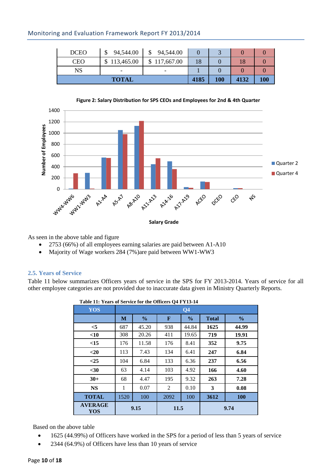| <b>DCEO</b> | 94,544.00                | 94,544.00                |     |      |     |  |
|-------------|--------------------------|--------------------------|-----|------|-----|--|
| <b>CEO</b>  | \$113,465.00             | \$117,667.00             | 18  |      | 18  |  |
| NS          | $\overline{\phantom{a}}$ | $\overline{\phantom{a}}$ |     |      |     |  |
|             | <b>TOTAL</b>             | 4185                     | 100 | 4132 | 100 |  |



**Figure 2: Salary Distribution for SPS CEOs and Employees for 2nd & 4th Quarter**

As seen in the above table and figure

- 2753 (66%) of all employees earning salaries are paid between A1-A10
- Majority of Wage workers 284 (7%)are paid between WW1-WW3

## <span id="page-9-0"></span>**2.5. Years of Service**

Table 11 below summarizes Officers years of service in the SPS for FY 2013-2014. Years of service for all other employee categories are not provided due to inaccurate data given in Ministry Quarterly Reports.

**Table 11: Years of Service for the Officers Q4 FY13-14**

| <b>YOS</b>            |      | Q <sub>4</sub> |                |               |              |               |
|-----------------------|------|----------------|----------------|---------------|--------------|---------------|
|                       | M    | $\frac{0}{0}$  | $\mathbf F$    | $\frac{0}{0}$ | <b>Total</b> | $\frac{6}{6}$ |
| $<$ 5                 | 687  | 45.20          | 938            | 44.84         | 1625         | 44.99         |
| $<$ 10                | 308  | 20.26          | 411            | 19.65         | 719          | 19.91         |
| <15                   | 176  | 11.58          | 176            | 8.41          | 352          | 9.75          |
| $<$ 20                | 113  | 7.43           | 134            | 6.41          | 247          | 6.84          |
| <25                   | 104  | 6.84           | 133            | 6.36          | 237          | 6.56          |
| $30$                  | 63   | 4.14           | 103            | 4.92          | 166          | 4.60          |
| $30+$                 | 68   | 4.47           | 195            | 9.32          | 263          | 7.28          |
| <b>NS</b>             | 1    | 0.07           | $\overline{2}$ | 0.10          | 3            | 0.08          |
| <b>TOTAL</b>          | 1520 | 100            | 2092           | 100           | 3612         | 100           |
| <b>AVERAGE</b><br>YOS | 9.15 |                | 11.5           |               |              | 9.74          |

Based on the above table

- 1625 (44.99%) of Officers have worked in the SPS for a period of less than 5 years of service
- 2344 (64.9%) of Officers have less than 10 years of service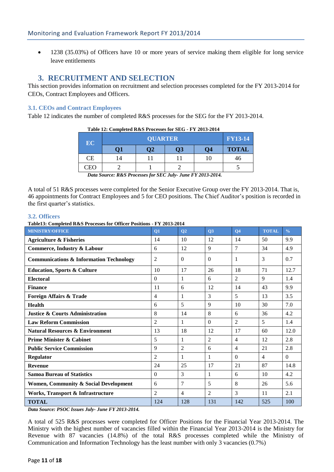• 1238 (35.03%) of Officers have 10 or more years of service making them eligible for long service leave entitlements

## **3. RECRUITMENT AND SELECTION**

<span id="page-10-0"></span>This section provides information on recruitment and selection processes completed for the FY 2013-2014 for CEOs, Contract Employees and Officers.

## <span id="page-10-1"></span>**3.1. CEOs and Contract Employees**

Table 12 indicates the number of completed R&S processes for the SEG for the FY 2013-2014.

| EC            |                                                                                     | <b>FY13-14</b>           |    |                 |              |  |
|---------------|-------------------------------------------------------------------------------------|--------------------------|----|-----------------|--------------|--|
|               | <b>O1</b>                                                                           | $\overline{\mathbf{O2}}$ | Q3 | $\overline{O4}$ | <b>TOTAL</b> |  |
| <b>CE</b>     | 14                                                                                  |                          |    |                 | 46           |  |
| CEO           |                                                                                     |                          |    |                 |              |  |
| $\sim$ $\sim$ | $\alpha - \alpha - \alpha$<br>$\mathbf{r}$<br>$\sim$ $\sim$ $\sim$<br>$\frac{1}{2}$ |                          |    |                 |              |  |

**Table 12: Completed R&S Processes for SEG - FY 2013-2014**

A total of 51 R&S processes were completed for the Senior Executive Group over the FY 2013-2014. That is, 46 appointments for Contract Employees and 5 for CEO positions. The Chief Auditor's position is recorded in the first quarter's statistics.

#### <span id="page-10-2"></span>**3.2. Officers**

**Table13: Completed R&S Processes for Officer Positions - FY 2013-2014**

| radició: complete rived i rocesses for officer i ostrons<br><b>MINISTRY/OFFICE</b> | <b>O1</b>      | <b>O2</b>      | <b>O3</b>      | <b>O4</b>      | <b>TOTAL</b>   | $\frac{0}{0}$ |
|------------------------------------------------------------------------------------|----------------|----------------|----------------|----------------|----------------|---------------|
| <b>Agriculture &amp; Fisheries</b>                                                 | 14             | 10             | 12             | 14             | 50             | 9.9           |
| Commerce, Industry & Labour                                                        | 6              | 12             | 9              | 7              | 34             | 4.9           |
| <b>Communications &amp; Information Technology</b>                                 | $\overline{c}$ | $\mathbf{0}$   | $\Omega$       | 1              | 3              | 0.7           |
| <b>Education, Sports &amp; Culture</b>                                             | 10             | 17             | 26             | 18             | 71             | 12.7          |
| <b>Electoral</b>                                                                   | $\Omega$       | 1              | 6              | $\overline{2}$ | 9              | 1.4           |
| <b>Finance</b>                                                                     | 11             | 6              | 12             | 14             | 43             | 9.9           |
| <b>Foreign Affairs &amp; Trade</b>                                                 | 4              | 1              | 3              | 5              | 13             | 3.5           |
| <b>Health</b>                                                                      | 6              | 5              | 9              | 10             | 30             | 7.0           |
| <b>Justice &amp; Courts Administration</b>                                         | 8              | 14             | 8              | 6              | 36             | 4.2           |
| <b>Law Reform Commission</b>                                                       | $\overline{2}$ | 1              | $\Omega$       | $\overline{2}$ | 5              | 1.4           |
| <b>Natural Resources &amp; Environment</b>                                         | 13             | 18             | 12             | 17             | 60             | 12.0          |
| <b>Prime Minister &amp; Cabinet</b>                                                | 5              | 1              | $\overline{2}$ | $\overline{4}$ | 12             | 2.8           |
| <b>Public Service Commission</b>                                                   | 9              | $\overline{2}$ | 6              | $\overline{4}$ | 21             | 2.8           |
| <b>Regulator</b>                                                                   | 2              | $\mathbf{1}$   | 1              | $\Omega$       | $\overline{4}$ | $\theta$      |
| <b>Revenue</b>                                                                     | 24             | 25             | 17             | 21             | 87             | 14.8          |
| <b>Samoa Bureau of Statistics</b>                                                  | $\Omega$       | 3              | 1              | 6              | 10             | 4.2           |
| <b>Women, Community &amp; Social Development</b>                                   | 6              | 7              | 5              | 8              | 26             | 5.6           |
| Works, Transport & Infrastructure                                                  | 2              | $\overline{4}$ | 2              | $\overline{3}$ | 11             | 2.1           |
| <b>TOTAL</b>                                                                       | 124            | 128            | 131            | 142            | 525            | 100           |

*Data Source: PSOC Issues July- June FY 2013-2014.*

A total of 525 R&S processes were completed for Officer Positions for the Financial Year 2013-2014. The Ministry with the highest number of vacancies filled within the Financial Year 2013-2014 is the Ministry for Revenue with 87 vacancies (14.8%) of the total R&S processes completed while the Ministry of Communication and Information Technology has the least number with only 3 vacancies (0.7%)

*Data Source: R&S Processes for SEC July- June FY 2013-2014.*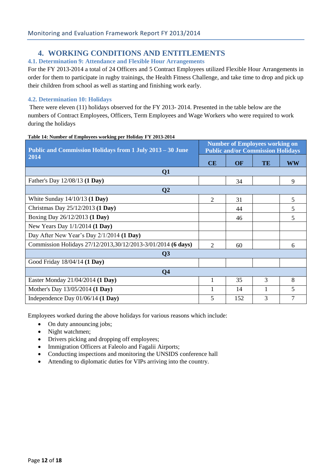## **4. WORKING CONDITIONS AND ENTITLEMENTS**

## <span id="page-11-1"></span><span id="page-11-0"></span>**4.1. Determination 9: Attendance and Flexible Hour Arrangements**

For the FY 2013-2014 a total of 24 Officers and 5 Contract Employees utilized Flexible Hour Arrangements in order for them to participate in rugby trainings, the Health Fitness Challenge, and take time to drop and pick up their children from school as well as starting and finishing work early.

## <span id="page-11-2"></span>**4.2. Determination 10: Holidays**

There were eleven (11) holidays observed for the FY 2013- 2014. Presented in the table below are the numbers of Contract Employees, Officers, Term Employees and Wage Workers who were required to work during the holidays

| Public and Commission Holidays from 1 July 2013 – 30 June    |    | <b>Number of Employees working on</b><br><b>Public and/or Commission Holidays</b> |           |    |  |  |  |
|--------------------------------------------------------------|----|-----------------------------------------------------------------------------------|-----------|----|--|--|--|
| 2014                                                         | CE | <b>OF</b>                                                                         | <b>TE</b> | WW |  |  |  |
| Q1                                                           |    |                                                                                   |           |    |  |  |  |
| Father's Day 12/08/13 (1 Day)                                |    | 34                                                                                |           | 9  |  |  |  |
| Q <sub>2</sub>                                               |    |                                                                                   |           |    |  |  |  |
| White Sunday $14/10/13$ (1 Day)                              | 2  | 31                                                                                |           | 5  |  |  |  |
| Christmas Day 25/12/2013 (1 Day)                             |    | 44                                                                                |           | 5  |  |  |  |
| Boxing Day 26/12/2013 (1 Day)                                |    | 46                                                                                |           | 5  |  |  |  |
| New Years Day 1/1/2014 (1 Day)                               |    |                                                                                   |           |    |  |  |  |
| Day After New Year's Day $2/1/2014$ (1 Day)                  |    |                                                                                   |           |    |  |  |  |
| Commission Holidays 27/12/2013,30/12/2013-3/01/2014 (6 days) | 2  | 60                                                                                |           | 6  |  |  |  |
| Q3                                                           |    |                                                                                   |           |    |  |  |  |
| Good Friday 18/04/14 (1 Day)                                 |    |                                                                                   |           |    |  |  |  |
| $\overline{O4}$                                              |    |                                                                                   |           |    |  |  |  |
| Easter Monday 21/04/2014 (1 Day)                             | 1  | 35                                                                                | 3         | 8  |  |  |  |
| Mother's Day 13/05/2014 (1 Day)                              |    | 14                                                                                |           | 5  |  |  |  |
| Independence Day $01/06/14$ (1 Day)                          | 5  | 152                                                                               | 3         | 7  |  |  |  |

**Table 14: Number of Employees working per Holiday FY 2013-2014**

Employees worked during the above holidays for various reasons which include:

- On duty announcing jobs;
- Night watchmen;
- Drivers picking and dropping off employees;
- Immigration Officers at Faleolo and Fagalii Airports;
- Conducting inspections and monitoring the UNSIDS conference hall
- Attending to diplomatic duties for VIPs arriving into the country.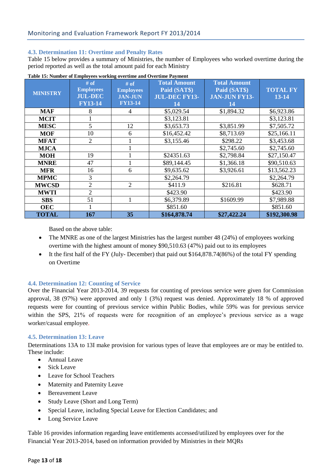## <span id="page-12-0"></span>**4.3. Determination 11: Overtime and Penalty Rates**

Table 15 below provides a summary of Ministries, the number of Employees who worked overtime during the period reported as well as the total amount paid for each Ministry

| <b>MINISTRY</b> | # of<br><b>Employees</b><br><b>JUL-DEC</b><br><b>FY13-14</b> | # of<br><b>Employees</b><br><b>JAN-JUN</b><br><b>FY13-14</b> | <b>Total Amount</b><br>Paid (SAT\$)<br><b>JUL-DEC FY13-</b><br>14 | <b>Total Amount</b><br>Paid (SAT\$)<br><b>JAN-JUN FY13-</b><br>14 | <b>TOTAL FY</b><br>13-14 |
|-----------------|--------------------------------------------------------------|--------------------------------------------------------------|-------------------------------------------------------------------|-------------------------------------------------------------------|--------------------------|
| <b>MAF</b>      | 8                                                            | 4                                                            | \$5,029.54                                                        | \$1,894.32                                                        | \$6,923.86               |
| <b>MCIT</b>     |                                                              |                                                              | \$3,123.81                                                        |                                                                   | \$3,123.81               |
| <b>MESC</b>     | 5                                                            | 12                                                           | \$3,653.73                                                        | \$3,851.99                                                        | \$7,505.72               |
| <b>MOF</b>      | 10                                                           | 6                                                            | \$16,452.42                                                       | \$8,713.69                                                        | \$25,166.11              |
| <b>MFAT</b>     | $\overline{2}$                                               |                                                              | \$3,155.46                                                        | \$298.22                                                          | \$3,453.68               |
| <b>MJCA</b>     |                                                              |                                                              |                                                                   | \$2,745.60                                                        | \$2,745.60               |
| <b>MOH</b>      | 19                                                           |                                                              | \$24351.63                                                        | \$2,798.84                                                        | \$27,150.47              |
| <b>MNRE</b>     | 47                                                           |                                                              | \$89,144.45                                                       | \$1,366.18                                                        | \$90,510.63              |
| <b>MFR</b>      | 16                                                           | 6                                                            | \$9,635.62                                                        | \$3,926.61                                                        | \$13,562.23              |
| <b>MPMC</b>     | 3                                                            |                                                              | \$2,264.79                                                        |                                                                   | \$2,264.79               |
| <b>MWCSD</b>    | $\overline{2}$                                               | $\overline{2}$                                               | \$411.9                                                           | \$216.81                                                          | \$628.71                 |
| <b>MWTI</b>     | $\overline{2}$                                               |                                                              | \$423.90                                                          |                                                                   | \$423.90                 |
| <b>SBS</b>      | 51                                                           |                                                              | \$6,379.89                                                        | \$1609.99                                                         | \$7,989.88               |
| <b>OEC</b>      |                                                              |                                                              | \$851.60                                                          |                                                                   | \$851.60                 |
| <b>TOTAL</b>    | 167                                                          | 35                                                           | \$164,878.74                                                      | \$27,422.24                                                       | \$192,300.98             |

**Table 15: Number of Employees working overtime and Overtime Payment**

Based on the above table:

- The MNRE as one of the largest Ministries has the largest number 48 (24%) of employees working overtime with the highest amount of money \$90,510.63 (47%) paid out to its employees
- It the first half of the FY (July- December) that paid out \$164,878.74(86%) of the total FY spending on Overtime

## <span id="page-12-1"></span>**4.4. Determination 12: Counting of Service**

Over the Financial Year 2013-2014, 39 requests for counting of previous service were given for Commission approval, 38 (97%) were approved and only 1 (3%) request was denied. Approximately 18 % of approved requests were for counting of previous service within Public Bodies, while 59% was for previous service within the SPS, 21% of requests were for recognition of an employee's previous service as a wage worker/casual employee.

## <span id="page-12-2"></span>**4.5. Determination 13: Leave**

Determinations 13A to 13I make provision for various types of leave that employees are or may be entitled to. These include:

- Annual Leave
- Sick Leave
- Leave for School Teachers
- Maternity and Paternity Leave
- Bereavement Leave
- Study Leave (Short and Long Term)
- Special Leave, including Special Leave for Election Candidates; and
- Long Service Leave

Table 16 provides information regarding leave entitlements accessed/utilized by employees over for the Financial Year 2013-2014, based on information provided by Ministries in their MQRs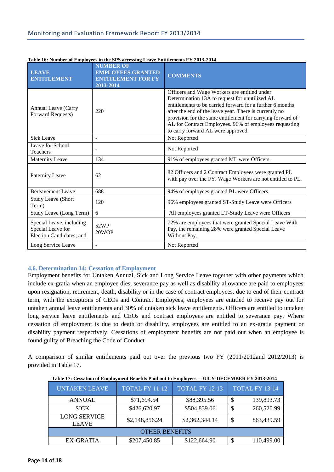| <b>LEAVE</b><br><b>ENTITLEMENT</b>                                        | <b>NUMBER OF</b><br><b>EMPLOYEES GRANTED</b><br><b>ENTITLEMENT FOR FY</b><br>2013-2014 | <b>COMMENTS</b>                                                                                                                                                                                                                                                                                                                                                                    |
|---------------------------------------------------------------------------|----------------------------------------------------------------------------------------|------------------------------------------------------------------------------------------------------------------------------------------------------------------------------------------------------------------------------------------------------------------------------------------------------------------------------------------------------------------------------------|
| Annual Leave (Carry<br><b>Forward Requests)</b>                           | 220                                                                                    | Officers and Wage Workers are entitled under<br>Determination 13A to request for unutilized AL<br>entitlements to be carried forward for a further 6 months<br>after the end of the leave year. There is currently no<br>provision for the same entitlement for carrying forward of<br>AL for Contract Employees. 96% of employees requesting<br>to carry forward AL were approved |
| <b>Sick Leave</b>                                                         | $\sim$                                                                                 | Not Reported                                                                                                                                                                                                                                                                                                                                                                       |
| Leave for School<br>Teachers                                              |                                                                                        | Not Reported                                                                                                                                                                                                                                                                                                                                                                       |
| <b>Maternity Leave</b>                                                    | 134                                                                                    | 91% of employees granted ML were Officers.                                                                                                                                                                                                                                                                                                                                         |
| Paternity Leave                                                           | 62                                                                                     | 82 Officers and 2 Contract Employees were granted PL<br>with pay over the FY. Wage Workers are not entitled to PL.                                                                                                                                                                                                                                                                 |
| <b>Bereavement Leave</b>                                                  | 688                                                                                    | 94% of employees granted BL were Officers                                                                                                                                                                                                                                                                                                                                          |
| <b>Study Leave (Short</b><br>Term)                                        | 120                                                                                    | 96% employees granted ST-Study Leave were Officers                                                                                                                                                                                                                                                                                                                                 |
| Study Leave (Long Term)                                                   | 6                                                                                      | All employees granted LT-Study Leave were Officers                                                                                                                                                                                                                                                                                                                                 |
| Special Leave, including<br>Special Leave for<br>Election Candidates; and | 52WP<br>20WOP                                                                          | 72% are employees that were granted Special Leave With<br>Pay, the remaining 28% were granted Special Leave<br>Without Pay.                                                                                                                                                                                                                                                        |
| Long Service Leave                                                        |                                                                                        | Not Reported                                                                                                                                                                                                                                                                                                                                                                       |

#### **Table 16: Number of Employees in the SPS accessing Leave Entitlements FY 2013-2014.**

## <span id="page-13-0"></span>**4.6. Determination 14: Cessation of Employment**

Employment benefits for Untaken Annual, Sick and Long Service Leave together with other payments which include ex-gratia when an employee dies, severance pay as well as disability allowance are paid to employees upon resignation, retirement, death, disability or in the case of contract employees, due to end of their contract term, with the exceptions of CEOs and Contract Employees, employees are entitled to receive pay out for untaken annual leave entitlements and 30% of untaken sick leave entitlements. Officers are entitled to untaken long service leave entitlements and CEOs and contract employees are entitled to severance pay. Where cessation of employment is due to death or disability, employees are entitled to an ex-gratia payment or disability payment respectively. Cessations of employment benefits are not paid out when an employee is found guilty of Breaching the Code of Conduct

A comparison of similar entitlements paid out over the previous two FY (2011/2012and 2012/2013) is provided in Table 17.

| <b>UNTAKEN LEAVE</b>                | TOTAL FY 11-12 | <b>TOTAL FY 12-13</b> | TOTAL FY 13-14   |  |  |  |  |  |
|-------------------------------------|----------------|-----------------------|------------------|--|--|--|--|--|
| <b>ANNUAL</b>                       | \$71,694.54    | \$88,395.56           | 139,893.73<br>\$ |  |  |  |  |  |
| <b>SICK</b>                         | \$426,620.97   | \$504,839.06          | 260,520.99<br>\$ |  |  |  |  |  |
| <b>LONG SERVICE</b><br><b>LEAVE</b> | \$2,148,856.24 | \$2,362,344.14        | 863,439.59<br>\$ |  |  |  |  |  |
| <b>OTHER BENEFITS</b>               |                |                       |                  |  |  |  |  |  |
| <b>EX-GRATIA</b>                    | \$207,450.85   | \$122,664.90          | 110,499.00       |  |  |  |  |  |

|  | Table 17: Cessation of Employment Benefits Paid out to Employees - JULY-DECEMBER FY 2013-2014 |  |  |
|--|-----------------------------------------------------------------------------------------------|--|--|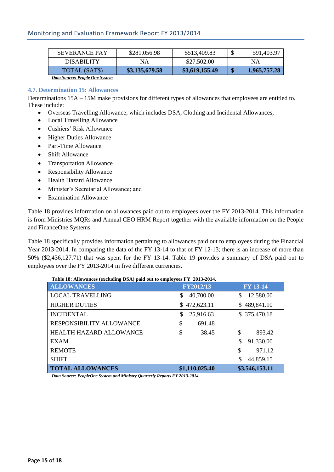| TOTAL (SAT\$)        | \$3,135,679.58 | \$3,619,155.49 | S | 1,965,757.28 |
|----------------------|----------------|----------------|---|--------------|
| <b>DISABILITY</b>    | ΝA             | \$27,502.00    |   | ΝA           |
| <b>SEVERANCE PAY</b> | \$281,056.98   | \$513,409.83   | ◡ | 591,403.97   |

#### <span id="page-14-0"></span>**4.7. Determination 15: Allowances**

Determinations 15A – 15M make provisions for different types of allowances that employees are entitled to. These include:

- Overseas Travelling Allowance, which includes DSA, Clothing and Incidental Allowances;
- Local Travelling Allowance
- Cashiers' Risk Allowance
- Higher Duties Allowance
- Part-Time Allowance
- Shift Allowance
- Transportation Allowance
- Responsibility Allowance
- Health Hazard Allowance
- Minister's Secretarial Allowance; and
- Examination Allowance

Table 18 provides information on allowances paid out to employees over the FY 2013-2014. This information is from Ministries MQRs and Annual CEO HRM Report together with the available information on the People and FinanceOne Systems

Table 18 specifically provides information pertaining to allowances paid out to employees during the Financial Year 2013-2014. In comparing the data of the FY 13-14 to that of FY 12-13; there is an increase of more than 50% (\$2,436,127.71) that was spent for the FY 13-14. Table 19 provides a summary of DSA paid out to employees over the FY 2013-2014 in five different currencies.

**Table 18: Allowances (excluding DSA) paid out to employees FY 2013-2014.**

| <b>ALLOWANCES</b>        | FY2012/13        | <b>FY 13-14</b>  |
|--------------------------|------------------|------------------|
| <b>LOCAL TRAVELLING</b>  | 40,700.00<br>\$  | 12,580.00<br>\$  |
| <b>HIGHER DUTIES</b>     | 472,623.11<br>\$ | 489,841.10<br>S. |
| <b>INCIDENTAL</b>        | 25,916.63<br>\$  | \$375,470.18     |
| RESPONSIBILITY ALLOWANCE | \$<br>691.48     |                  |
| HEALTH HAZARD ALLOWANCE  | \$<br>38.45      | \$<br>893.42     |
| <b>EXAM</b>              |                  | 91,330.00<br>\$  |
| <b>REMOTE</b>            |                  | \$<br>971.12     |
| <b>SHIFT</b>             |                  | 44,859.15<br>\$  |
| <b>TOTAL ALLOWANCES</b>  | \$1,110,025.40   | \$3,546,153.11   |

*Data Source: PeopleOne System and Ministry Quarterly Reports FY 2013-2014*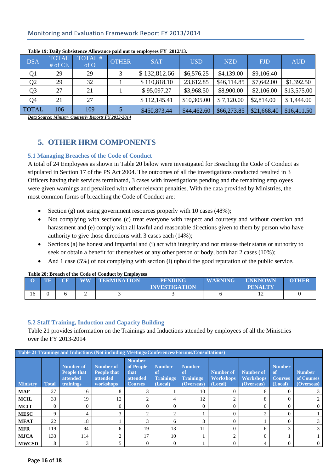| <b>DSA</b>     | <b>TOTAL</b><br># of CE | TOTAL <sup>#</sup><br>of O | <b>OTHER</b> | <b>SAT</b>   | <b>USD</b>  | <b>NZD</b>  | <b>FJD</b>  | <b>AUD</b>  |
|----------------|-------------------------|----------------------------|--------------|--------------|-------------|-------------|-------------|-------------|
| Q <sub>1</sub> | 29                      | 29                         | 3            | \$132,812.66 | \$6,576.25  | \$4,139.00  | \$9,106.40  |             |
| Q <sub>2</sub> | 29                      | 32                         |              | \$110,818.10 | 23,612.85   | \$46,114.85 | \$7,642.00  | \$1,392.50  |
| Q <sub>3</sub> | 27                      | 21                         |              | \$95,097.27  | \$3,968.50  | \$8,900.00  | \$2,106.00  | \$13,575.00 |
| Q4             | 21                      | 27                         |              | \$112,145.41 | \$10,305.00 | \$7,120.00  | \$2,814.00  | \$1,444.00  |
| <b>TOTAL</b>   | 106                     | 109                        |              | \$450,873.44 | \$44,462.60 | \$66,273.85 | \$21,668.40 | \$16,411.50 |

**Table 19: Daily Subsistence Allowance paid out to employees FY 2012/13.**

*Data Source: Ministry Quarterly Reports FY 2013-2014*

## <span id="page-15-0"></span>**5. OTHER HRM COMPONENTS**

## <span id="page-15-1"></span>**5.1 Managing Breaches of the Code of Conduct**

A total of 24 Employees as shown in Table 20 below were investigated for Breaching the Code of Conduct as stipulated in Section 17 of the PS Act 2004. The outcomes of all the investigations conducted resulted in 3 Officers having their services terminated, 3 cases with investigations pending and the remaining employees were given warnings and penalized with other relevant penalties. With the data provided by Ministries, the most common forms of breaching the Code of Conduct are:

- Section (g) not using government resources properly with 10 cases (48%);
- Not complying with sections (c) treat everyone with respect and courtesy and without coercion and harassment and (e) comply with all lawful and reasonable directions given to them by person who have authority to give those directions with 3 cases each (14%);
- Sections (a) be honest and impartial and (i) act with integrity and not misuse their status or authority to seek or obtain a benefit for themselves or any other person or body, both had 2 cases (10%);
- And 1 case  $(5\%)$  of not complying with section (1) uphold the good reputation of the public service.

|    | Table 20: Breach of the Code of Conduct by Employees |  |    |                    |                      |                |                 |       |  |  |
|----|------------------------------------------------------|--|----|--------------------|----------------------|----------------|-----------------|-------|--|--|
|    | TE                                                   |  | WW | <b>TERMINATION</b> | <b>PENDING</b>       | <b>WARNING</b> | <b>IINKNOWN</b> | OTHER |  |  |
|    |                                                      |  |    |                    | <b>INVESTIGATION</b> |                | <b>PENALTY</b>  |       |  |  |
| 16 |                                                      |  |    |                    |                      |                |                 |       |  |  |

## <span id="page-15-2"></span>**5.2 Staff Training, Induction and Capacity Building**

Table 21 provides information on the Trainings and Inductions attended by employees of all the Ministries over the FY 2013-2014

| <b>Table 21 Trainings and Inductions (Not including Meetings/Conferences/Forums/Consultations)</b> |              |                                                          |                                                                 |                                                                  |                                                               |                                                       |                                                 |                                             |                                                  |                                           |
|----------------------------------------------------------------------------------------------------|--------------|----------------------------------------------------------|-----------------------------------------------------------------|------------------------------------------------------------------|---------------------------------------------------------------|-------------------------------------------------------|-------------------------------------------------|---------------------------------------------|--------------------------------------------------|-------------------------------------------|
| <b>Ministry</b>                                                                                    | <b>Total</b> | Number of<br><b>People that</b><br>attended<br>trainings | Number of<br><b>People that</b><br>attended<br><b>workshops</b> | <b>Number</b><br>of People<br>that<br>attended<br><b>Courses</b> | <b>Number</b><br><sub>of</sub><br><b>Trainings</b><br>(Local) | <b>Number</b><br>of<br><b>Trainings</b><br>(Overseas) | <b>Number of</b><br><b>Workshops</b><br>(Local) | Number of<br><b>Workshops</b><br>(Overseas) | <b>Number</b><br>of<br><b>Courses</b><br>(Local) | <b>Number</b><br>of Courses<br>(Overseas) |
| <b>MAF</b>                                                                                         | 27           | 16                                                       |                                                                 | 3                                                                |                                                               | 10                                                    |                                                 | 8                                           |                                                  |                                           |
| <b>MCIL</b>                                                                                        | 33           | 19                                                       | 12                                                              | 2                                                                | 4                                                             | 12                                                    | ↑                                               | 8                                           | $\Omega$                                         |                                           |
| <b>MCIT</b>                                                                                        | $\Omega$     | 0                                                        |                                                                 | $\Omega$                                                         |                                                               |                                                       | $\Omega$                                        |                                             | $\Omega$                                         | 0                                         |
| <b>MESC</b>                                                                                        | 9            | 4                                                        | 3                                                               | 2                                                                | $\bigcap$                                                     |                                                       | $\Omega$                                        |                                             | $\Omega$                                         |                                           |
| <b>MFAT</b>                                                                                        | 22           | 18                                                       |                                                                 | 3                                                                | h                                                             | 8                                                     |                                                 |                                             | $\Omega$                                         |                                           |
| <b>MFR</b>                                                                                         | 119          | 94                                                       | 6                                                               | 19                                                               | 13                                                            | 11                                                    |                                                 | <sub>6</sub>                                | 3                                                |                                           |
| <b>MJCA</b>                                                                                        | 133          | 114                                                      | $\bigcap$                                                       | 17                                                               | 10                                                            |                                                       | $\bigcap$                                       |                                             |                                                  |                                           |
| <b>MWCSD</b>                                                                                       | 8            |                                                          |                                                                 | $\overline{0}$                                                   |                                                               |                                                       |                                                 |                                             |                                                  | 0                                         |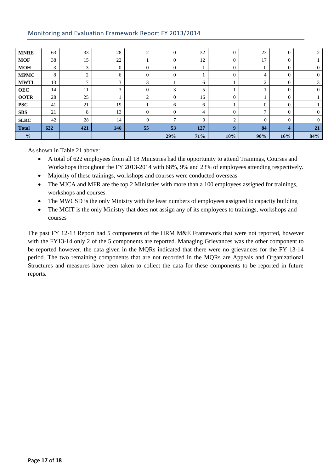| <b>MNRE</b>   | 63  | 33           | 28             | 2              | $\Omega$       | 32           | $\Omega$       | 23             | $\Omega$ | 2              |
|---------------|-----|--------------|----------------|----------------|----------------|--------------|----------------|----------------|----------|----------------|
| <b>MOF</b>    | 38  | 15           | 22             |                | $\Omega$       | 12           | $\Omega$       | 17             | 0        |                |
| <b>MOH</b>    | 3   | 3            | $\overline{0}$ | $\overline{0}$ | $\Omega$       |              | $\Omega$       | $\Omega$       |          | $\overline{0}$ |
| <b>MPMC</b>   | 8   | $\bigcap$    | 6              | $\mathbf{0}$   | $\Omega$       |              | $\Omega$       | 4              | $\Omega$ | $\overline{0}$ |
| <b>MWTI</b>   | 13  | $\mathbf{r}$ | 3              | 3              |                | 6            |                | C              |          | 3              |
| <b>OEC</b>    | 14  | 11           | 3              | $\mathbf{0}$   | 3              | 5            |                |                | $\Omega$ | $\overline{0}$ |
| <b>OOTR</b>   | 28  | 25           |                | 2              | $\mathbf{0}$   | 16           | $\Omega$       |                | $\Omega$ |                |
| <b>PSC</b>    | 41  | 21           | 19             |                | 6              | 6            |                | $\Omega$       | $\Omega$ |                |
| <b>SBS</b>    | 21  | 8            | 13             | $\mathbf{0}$   | $\overline{0}$ | 4            | $\overline{0}$ | $\mathbf{r}$   | $\Omega$ | $\theta$       |
| <b>SLRC</b>   | 42  | 28           | 14             | $\mathbf{0}$   | $\mathcal{I}$  | $\mathbf{0}$ | 2              | $\overline{0}$ | $\Omega$ | $\overline{0}$ |
| <b>Total</b>  | 622 | 421          | 146            | 55             | 53             | 127          | 9              | 84             | 4        | 21             |
| $\frac{0}{0}$ |     |              |                |                | 29%            | 71%          | 10%            | 90%            | 16%      | 84%            |

As shown in Table 21 above:

- A total of 622 employees from all 18 Ministries had the opportunity to attend Trainings, Courses and Workshops throughout the FY 2013-2014 with 68%, 9% and 23% of employees attending respectively.
- Majority of these trainings, workshops and courses were conducted overseas
- The MJCA and MFR are the top 2 Ministries with more than a 100 employees assigned for trainings, workshops and courses
- The MWCSD is the only Ministry with the least numbers of employees assigned to capacity building
- The MCIT is the only Ministry that does not assign any of its employees to trainings, workshops and courses

The past FY 12-13 Report had 5 components of the HRM M&E Framework that were not reported, however with the FY13-14 only 2 of the 5 components are reported. Managing Grievances was the other component to be reported however, the data given in the MQRs indicated that there were no grievances for the FY 13-14 period. The two remaining components that are not recorded in the MQRs are Appeals and Organizational Structures and measures have been taken to collect the data for these components to be reported in future reports.